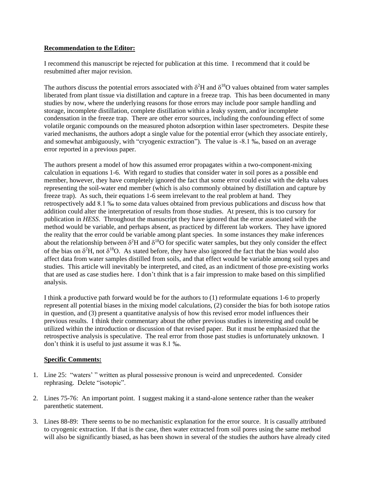## **Recommendation to the Editor:**

I recommend this manuscript be rejected for publication at this time. I recommend that it could be resubmitted after major revision.

The authors discuss the potential errors associated with  $\delta^2$ H and  $\delta^{18}$ O values obtained from water samples liberated from plant tissue via distillation and capture in a freeze trap. This has been documented in many studies by now, where the underlying reasons for those errors may include poor sample handling and storage, incomplete distillation, complete distillation within a leaky system, and/or incomplete condensation in the freeze trap. There are other error sources, including the confounding effect of some volatile organic compounds on the measured photon adsorption within laser spectrometers. Despite these varied mechanisms, the authors adopt a single value for the potential error (which they associate entirely, and somewhat ambiguously, with "cryogenic extraction"). The value is -8.1 ‰, based on an average error reported in a previous paper.

The authors present a model of how this assumed error propagates within a two-component-mixing calculation in equations 1-6. With regard to studies that consider water in soil pores as a possible end member, however, they have completely ignored the fact that some error could exist with the delta values representing the soil-water end member (which is also commonly obtained by distillation and capture by freeze trap). As such, their equations 1-6 seem irrelevant to the real problem at hand. They retrospectively add 8.1 ‰ to some data values obtained from previous publications and discuss how that addition could alter the interpretation of results from those studies. At present, this is too cursory for publication in *HESS*. Throughout the manuscript they have ignored that the error associated with the method would be variable, and perhaps absent, as practiced by different lab workers. They have ignored the reality that the error could be variable among plant species. In some instances they make inferences about the relationship between  $\delta^2$ H and  $\delta^{18}$ O for specific water samples, but they only consider the effect of the bias on  $\delta^2$ H, not  $\delta^{18}$ O. As stated before, they have also ignored the fact that the bias would also affect data from water samples distilled from soils, and that effect would be variable among soil types and studies. This article will inevitably be interpreted, and cited, as an indictment of those pre-existing works that are used as case studies here. I don't think that is a fair impression to make based on this simplified analysis.

I think a productive path forward would be for the authors to (1) reformulate equations 1-6 to properly represent all potential biases in the mixing model calculations, (2) consider the bias for both isotope ratios in question, and (3) present a quantitative analysis of how this revised error model influences their previous results. I think their commentary about the other previous studies is interesting and could be utilized within the introduction or discussion of that revised paper. But it must be emphasized that the retrospective analysis is speculative. The real error from those past studies is unfortunately unknown. I don't think it is useful to just assume it was 8.1 ‰.

## **Specific Comments:**

- 1. Line 25: "waters' " written as plural possessive pronoun is weird and unprecedented. Consider rephrasing. Delete "isotopic".
- 2. Lines 75-76: An important point. I suggest making it a stand-alone sentence rather than the weaker parenthetic statement.
- 3. Lines 88-89: There seems to be no mechanistic explanation for the error source. It is casually attributed to cryogenic extraction. If that is the case, then water extracted from soil pores using the same method will also be significantly biased, as has been shown in several of the studies the authors have already cited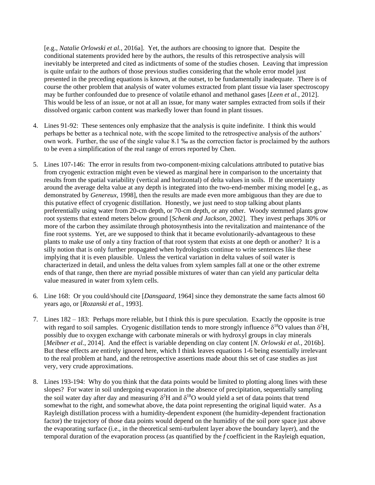[e.g., *Natalie Orlowski et al.*, 2016a]. Yet, the authors are choosing to ignore that. Despite the conditional statements provided here by the authors, the results of this retrospective analysis will inevitably be interpreted and cited as indictments of some of the studies chosen. Leaving that impression is quite unfair to the authors of those previous studies considering that the whole error model just presented in the preceding equations is known, at the outset, to be fundamentally inadequate. There is of course the other problem that analysis of water volumes extracted from plant tissue via laser spectroscopy may be further confounded due to presence of volatile ethanol and methanol gases [*Leen et al.*, 2012]. This would be less of an issue, or not at all an issue, for many water samples extracted from soils if their dissolved organic carbon content was markedly lower than found in plant tissues.

- 4. Lines 91-92: These sentences only emphasize that the analysis is quite indefinite. I think this would perhaps be better as a technical note, with the scope limited to the retrospective analysis of the authors' own work. Further, the use of the single value 8.1 ‰ as the correction factor is proclaimed by the authors to be even a simplification of the real range of errors reported by Chen.
- 5. Lines 107-146: The error in results from two-component-mixing calculations attributed to putative bias from cryogenic extraction might even be viewed as marginal here in comparison to the uncertainty that results from the spatial variability (vertical and horizontal) of delta values in soils. If the uncertainty around the average delta value at any depth is integrated into the two-end-member mixing model [e.g., as demonstrated by *Genereux*, 1998], then the results are made even more ambiguous than they are due to this putative effect of cryogenic distillation. Honestly, we just need to stop talking about plants preferentially using water from 20-cm depth, or 70-cm depth, or any other. Woody stemmed plants grow root systems that extend meters below ground [*Schenk and Jackson*, 2002]. They invest perhaps 30% or more of the carbon they assimilate through photosynthesis into the revitalization and maintenance of the fine root systems. Yet, are we supposed to think that it became evolutionarily-advantageous to these plants to make use of only a tiny fraction of that root system that exists at one depth or another? It is a silly notion that is only further propagated when hydrologists continue to write sentences like these implying that it is even plausible. Unless the vertical variation in delta values of soil water is characterized in detail, and unless the delta values from xylem samples fall at one or the other extreme ends of that range, then there are myriad possible mixtures of water than can yield any particular delta value measured in water from xylem cells.
- 6. Line 168: Or you could/should cite [*Dansgaard*, 1964] since they demonstrate the same facts almost 60 years ago, or [*Rozanski et al.*, 1993].
- 7. Lines 182 183: Perhaps more reliable, but I think this is pure speculation. Exactly the opposite is true with regard to soil samples. Cryogenic distillation tends to more strongly influence  $\delta^{18}O$  values than  $\delta^2H$ , possibly due to oxygen exchange with carbonate minerals or with hydroxyl groups in clay minerals [*Meibner et al.*, 2014]. And the effect is variable depending on clay content [*N. Orlowski et al.*, 2016b]. But these effects are entirely ignored here, which I think leaves equations 1-6 being essentially irrelevant to the real problem at hand, and the retrospective assertions made about this set of case studies as just very, very crude approximations.
- 8. Lines 193-194: Why do you think that the data points would be limited to plotting along lines with these slopes? For water in soil undergoing evaporation in the absence of precipitation, sequentially sampling the soil water day after day and measuring  $\delta^2$ H and  $\delta^{18}$ O would yield a set of data points that trend somewhat to the right, and somewhat above, the data point representing the original liquid water. As a Rayleigh distillation process with a humidity-dependent exponent (the humidity-dependent fractionation factor) the trajectory of those data points would depend on the humidity of the soil pore space just above the evaporating surface (i.e., in the theoretical semi-turbulent layer above the boundary layer), and the temporal duration of the evaporation process (as quantified by the *f* coefficient in the Rayleigh equation,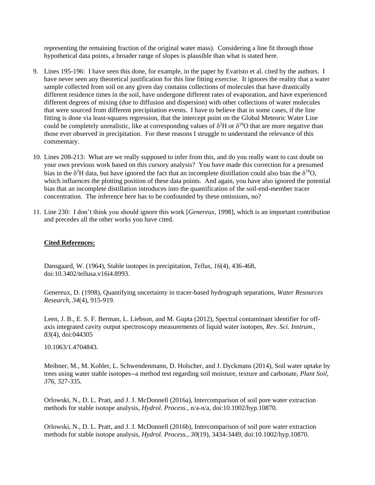representing the remaining fraction of the original water mass). Considering a line fit through those hypothetical data points, a broader range of slopes is plausible than what is stated here.

- 9. Lines 195-196: I have seen this done, for example, in the paper by Evaristo et al. cited by the authors. I have never seen any theoretical justification for this line fitting exercise. It ignores the reality that a water sample collected from soil on any given day contains collections of molecules that have drastically different residence times in the soil, have undergone different rates of evaporation, and have experienced different degrees of mixing (due to diffusion and dispersion) with other collections of water molecules that were sourced from different precipitation events. I have to believe that in some cases, if the line fitting is done via least-squares regression, that the intercept point on the Global Meteoric Water Line could be completely unrealistic, like at corresponding values of  $\delta^2$ H or  $\delta^{18}$ O that are more negative than those ever observed in precipitation. For these reasons I struggle to understand the relevance of this commentary.
- 10. Lines 208-213: What are we really supposed to infer from this, and do you really want to cast doubt on your own previous work based on this cursory analysis? You have made this correction for a presumed bias in the  $\delta^2$ H data, but have ignored the fact that an incomplete distillation could also bias the  $\delta^{18}O$ , which influences the plotting position of these data points. And again, you have also ignored the potential bias that an incomplete distillation introduces into the quantification of the soil-end-member tracer concentration. The inference here has to be confounded by these omissions, no?
- 11. Line 230: I don't think you should ignore this work [*Genereux*, 1998], which is an important contribution and precedes all the other works you have cited.

## **Cited References:**

Dansgaard, W. (1964), Stable isotopes in precipitation, *Tellus*, *16*(4), 436-468, doi:10.3402/tellusa.v16i4.8993.

Genereux, D. (1998), Quantifying uncertainty in tracer-based hydrograph separations, *Water Resources Research*, *34*(4), 915-919.

Leen, J. B., E. S. F. Berman, L. Liebson, and M. Gupta (2012), Spectral contaminant identifier for offaxis integrated cavity output spectroscopy measurements of liquid water isotopes, *Rev. Sci. Instrum.*, *83*(4), doi:044305

10.1063/1.4704843.

Meibner, M., M. Kohler, L. Schwendenmann, D. Holscher, and J. Dyckmans (2014), Soil water uptake by trees using water stable isotopes--a method test regarding soil moisture, texture and carbonate, *Plant Soil*, *376*, 327-335.

Orlowski, N., D. L. Pratt, and J. J. McDonnell (2016a), Intercomparison of soil pore water extraction methods for stable isotope analysis, *Hydrol. Process.*, n/a-n/a, doi:10.1002/hyp.10870.

Orlowski, N., D. L. Pratt, and J. J. McDonnell (2016b), Intercomparison of soil pore water extraction methods for stable isotope analysis, *Hydrol. Process.*, *30*(19), 3434-3449, doi:10.1002/hyp.10870.